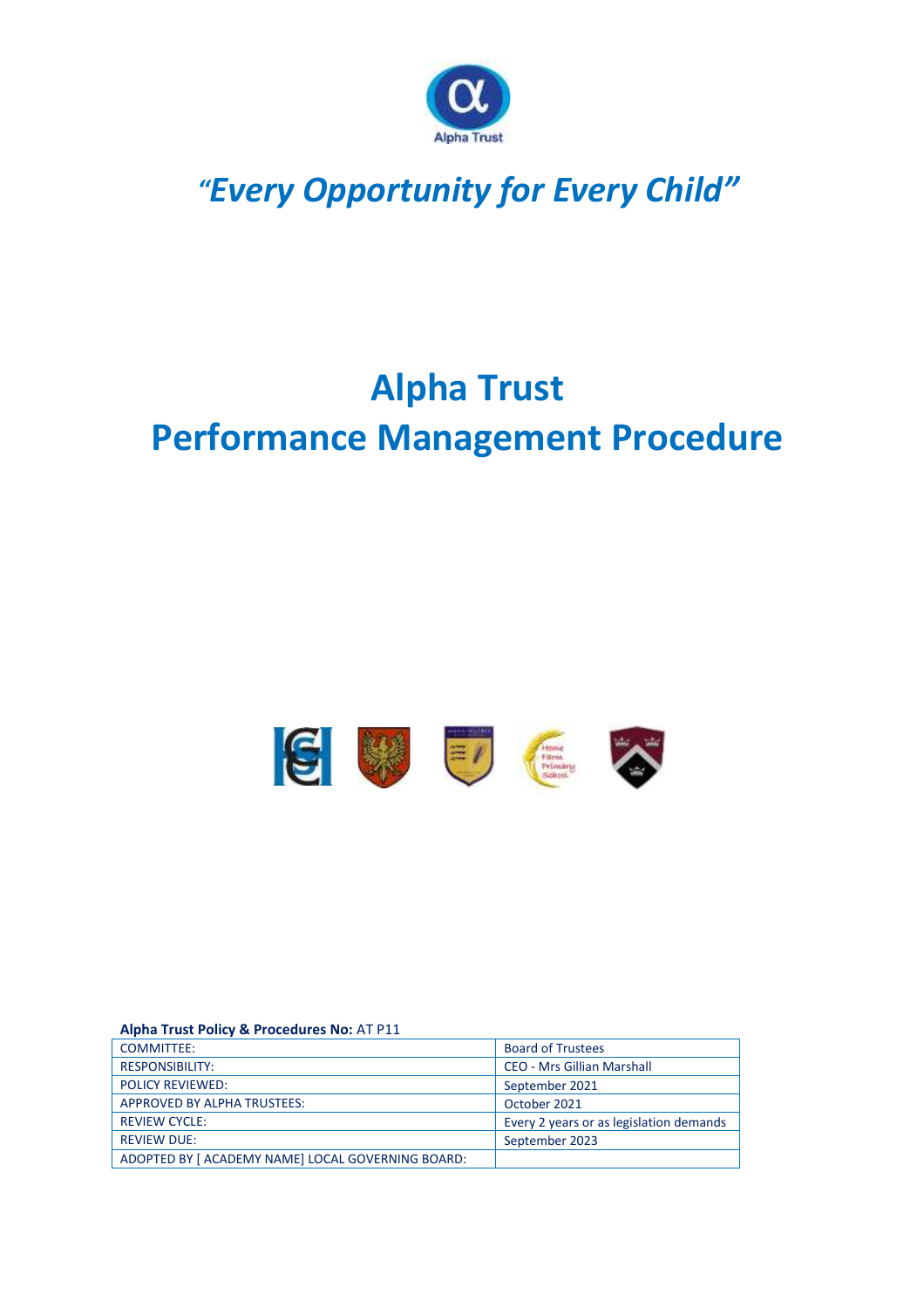

## *"Every Opportunity for Every Child"*

# **Alpha Trust Performance Management Procedure**



#### **Alpha Trust Policy & Procedures No:** AT P11

| <b>COMMITTEE:</b>                                 | <b>Board of Trustees</b>                |
|---------------------------------------------------|-----------------------------------------|
| <b>RESPONSIBILITY:</b>                            | <b>CEO - Mrs Gillian Marshall</b>       |
| <b>POLICY REVIEWED:</b>                           | September 2021                          |
| <b>APPROVED BY ALPHA TRUSTEES:</b>                | October 2021                            |
| <b>REVIEW CYCLE:</b>                              | Every 2 years or as legislation demands |
| <b>REVIEW DUE:</b>                                | September 2023                          |
| ADOPTED BY [ ACADEMY NAME] LOCAL GOVERNING BOARD: |                                         |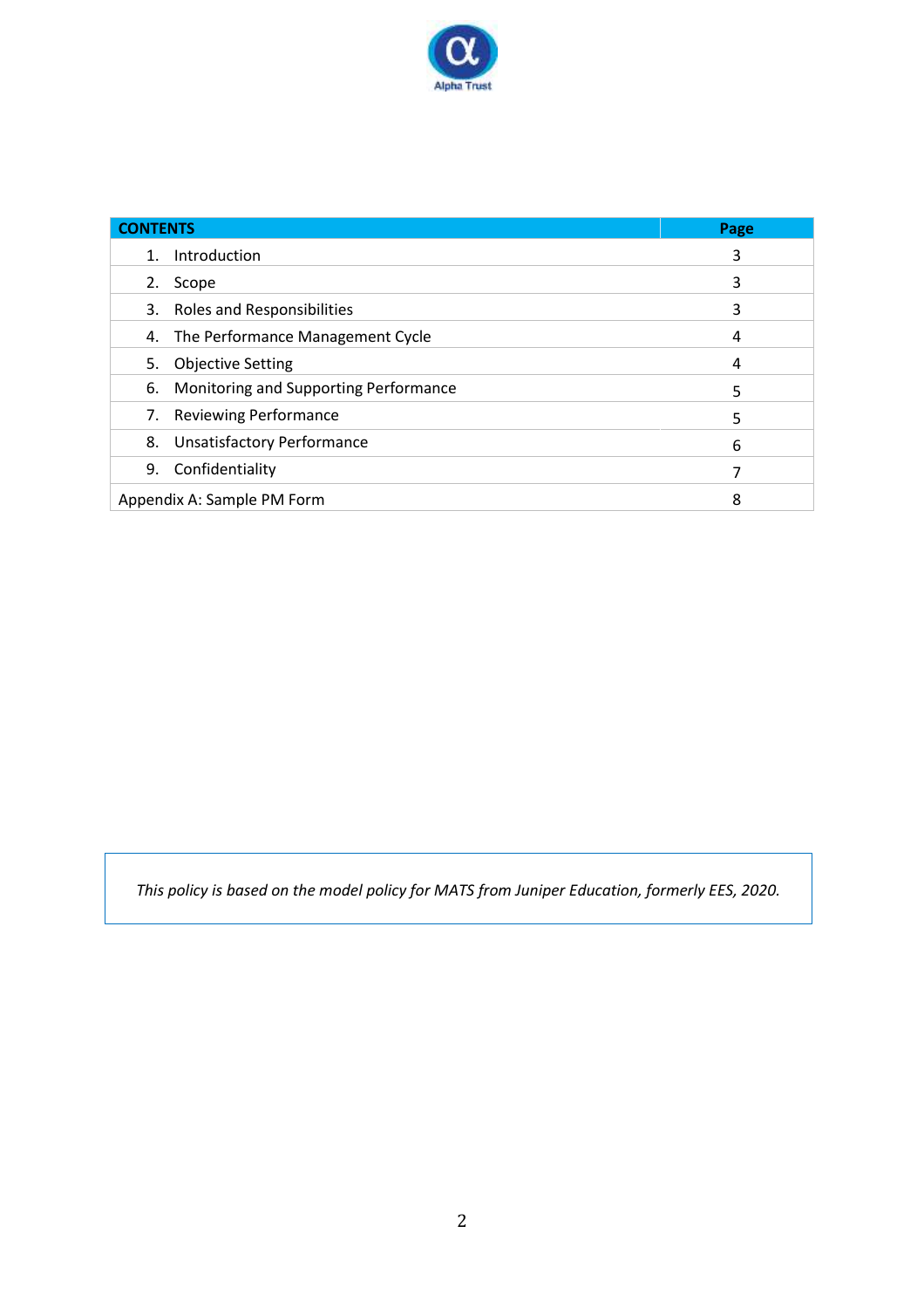

| <b>CONTENTS</b>                          | Page |  |
|------------------------------------------|------|--|
| Introduction<br>1.                       | 3    |  |
| Scope<br>2.                              | 3    |  |
| 3. Roles and Responsibilities            | 3    |  |
| 4. The Performance Management Cycle      | 4    |  |
| 5. Objective Setting                     | 4    |  |
| 6. Monitoring and Supporting Performance | 5    |  |
| <b>Reviewing Performance</b><br>7.       | 5    |  |
| <b>Unsatisfactory Performance</b><br>8.  | 6    |  |
| Confidentiality<br>9.                    |      |  |
| Appendix A: Sample PM Form<br>8          |      |  |

*This policy is based on the model policy for MATS from Juniper Education, formerly EES, 2020.*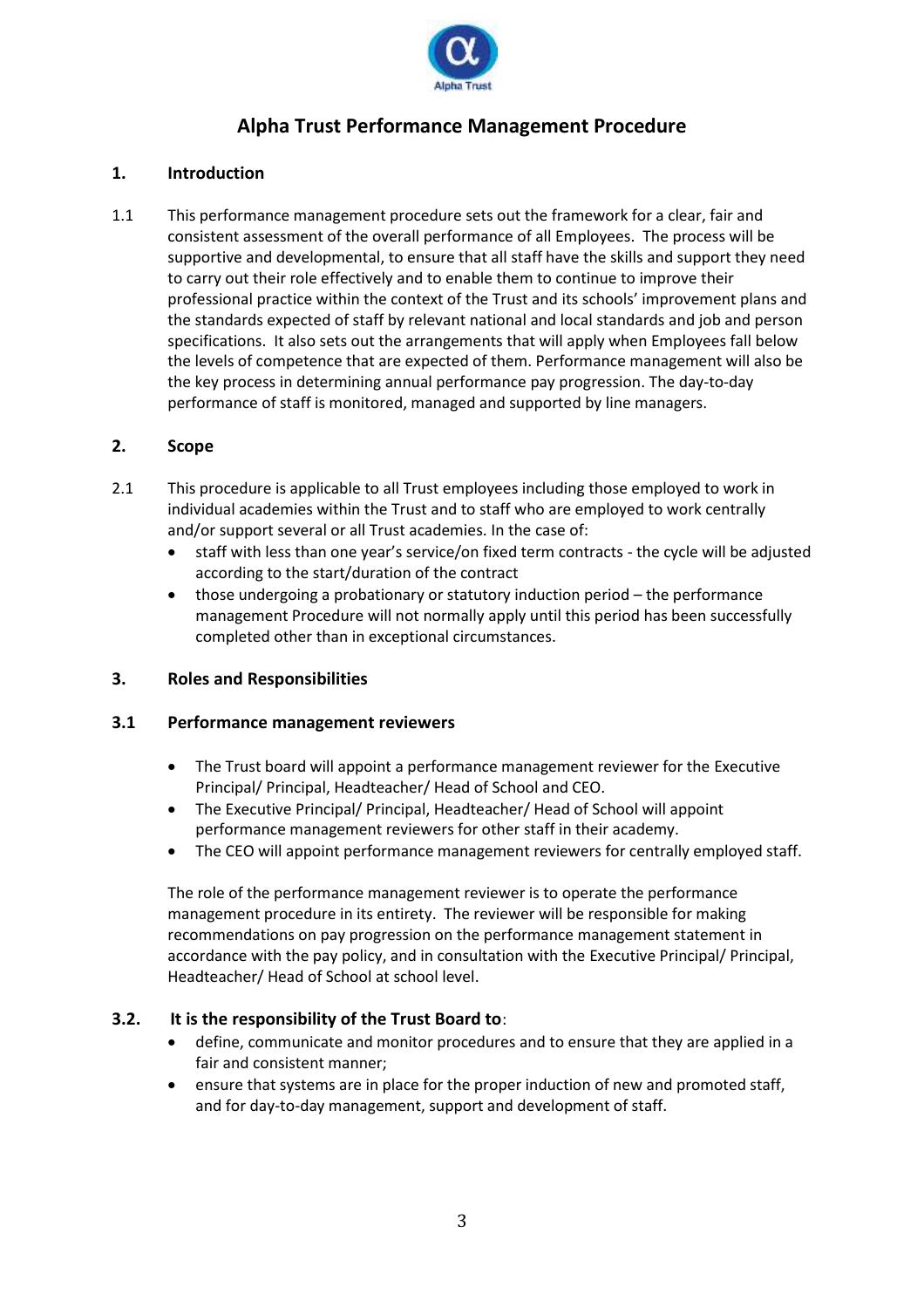

### **Alpha Trust Performance Management Procedure**

#### **1. Introduction**

1.1 This performance management procedure sets out the framework for a clear, fair and consistent assessment of the overall performance of all Employees. The process will be supportive and developmental, to ensure that all staff have the skills and support they need to carry out their role effectively and to enable them to continue to improve their professional practice within the context of the Trust and its schools' improvement plans and the standards expected of staff by relevant national and local standards and job and person specifications. It also sets out the arrangements that will apply when Employees fall below the levels of competence that are expected of them. Performance management will also be the key process in determining annual performance pay progression. The day-to-day performance of staff is monitored, managed and supported by line managers.

#### **2. Scope**

- 2.1 This procedure is applicable to all Trust employees including those employed to work in individual academies within the Trust and to staff who are employed to work centrally and/or support several or all Trust academies. In the case of:
	- staff with less than one year's service/on fixed term contracts the cycle will be adjusted according to the start/duration of the contract
	- those undergoing a probationary or statutory induction period the performance management Procedure will not normally apply until this period has been successfully completed other than in exceptional circumstances.

#### **3. Roles and Responsibilities**

#### **3.1 Performance management reviewers**

- The Trust board will appoint a performance management reviewer for the Executive Principal/ Principal, Headteacher/ Head of School and CEO.
- The Executive Principal/ Principal, Headteacher/ Head of School will appoint performance management reviewers for other staff in their academy.
- The CEO will appoint performance management reviewers for centrally employed staff.

The role of the performance management reviewer is to operate the performance management procedure in its entirety. The reviewer will be responsible for making recommendations on pay progression on the performance management statement in accordance with the pay policy, and in consultation with the Executive Principal/ Principal, Headteacher/ Head of School at school level.

#### **3.2. It is the responsibility of the Trust Board to**:

- define, communicate and monitor procedures and to ensure that they are applied in a fair and consistent manner;
- ensure that systems are in place for the proper induction of new and promoted staff, and for day-to-day management, support and development of staff.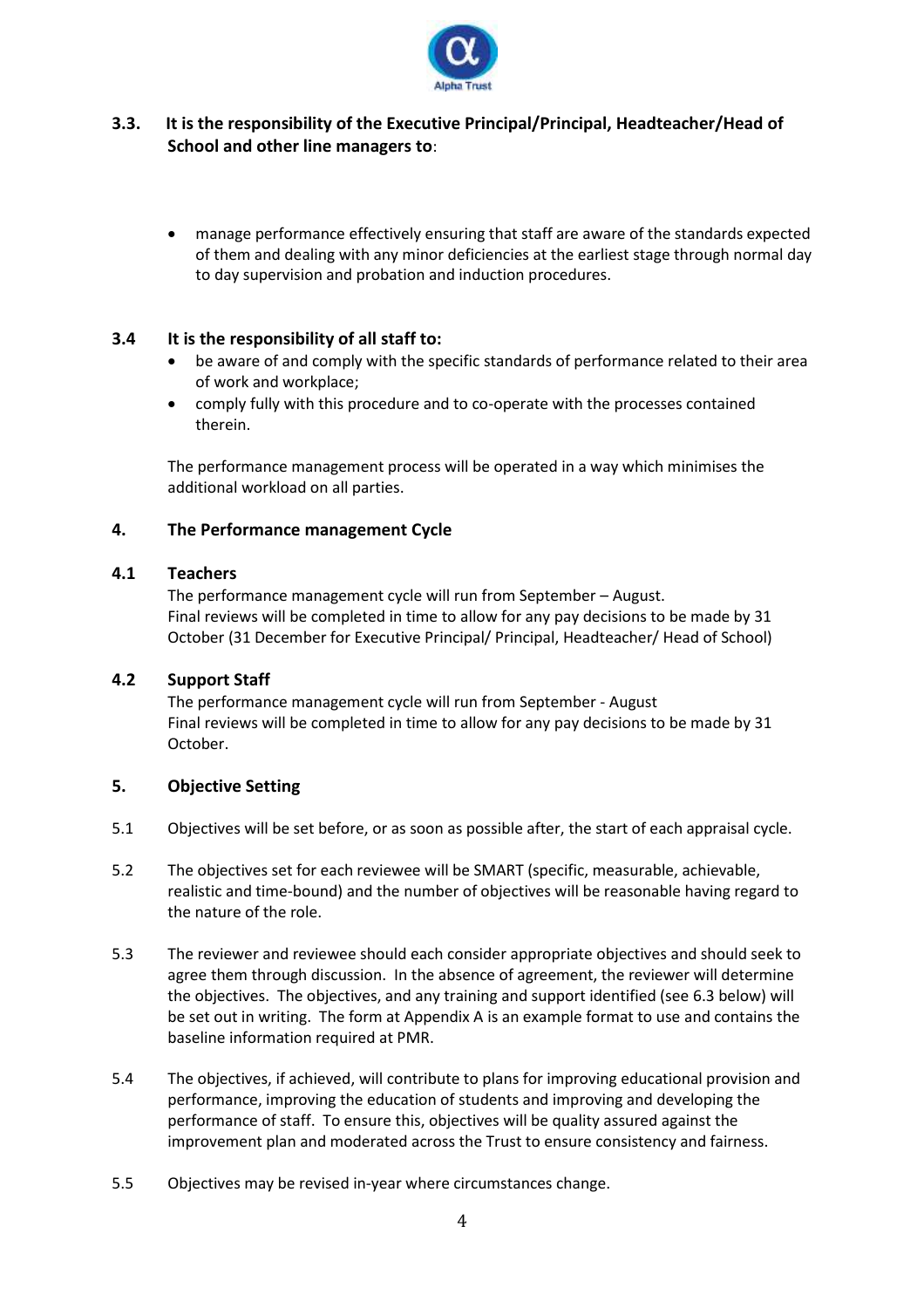

#### **3.3. It is the responsibility of the Executive Principal/Principal, Headteacher/Head of School and other line managers to**:

• manage performance effectively ensuring that staff are aware of the standards expected of them and dealing with any minor deficiencies at the earliest stage through normal day to day supervision and probation and induction procedures.

#### **3.4 It is the responsibility of all staff to:**

- be aware of and comply with the specific standards of performance related to their area of work and workplace;
- comply fully with this procedure and to co-operate with the processes contained therein.

The performance management process will be operated in a way which minimises the additional workload on all parties.

#### **4. The Performance management Cycle**

#### **4.1 Teachers**

The performance management cycle will run from September – August. Final reviews will be completed in time to allow for any pay decisions to be made by 31 October (31 December for Executive Principal/ Principal, Headteacher/ Head of School)

#### **4.2 Support Staff**

The performance management cycle will run from September - August Final reviews will be completed in time to allow for any pay decisions to be made by 31 October.

#### **5. Objective Setting**

- 5.1 Objectives will be set before, or as soon as possible after, the start of each appraisal cycle.
- 5.2 The objectives set for each reviewee will be SMART (specific, measurable, achievable, realistic and time-bound) and the number of objectives will be reasonable having regard to the nature of the role.
- 5.3 The reviewer and reviewee should each consider appropriate objectives and should seek to agree them through discussion. In the absence of agreement, the reviewer will determine the objectives. The objectives, and any training and support identified (see 6.3 below) will be set out in writing. The form at Appendix A is an example format to use and contains the baseline information required at PMR.
- 5.4 The objectives, if achieved, will contribute to plans for improving educational provision and performance, improving the education of students and improving and developing the performance of staff. To ensure this, objectives will be quality assured against the improvement plan and moderated across the Trust to ensure consistency and fairness.
- 5.5 Objectives may be revised in-year where circumstances change.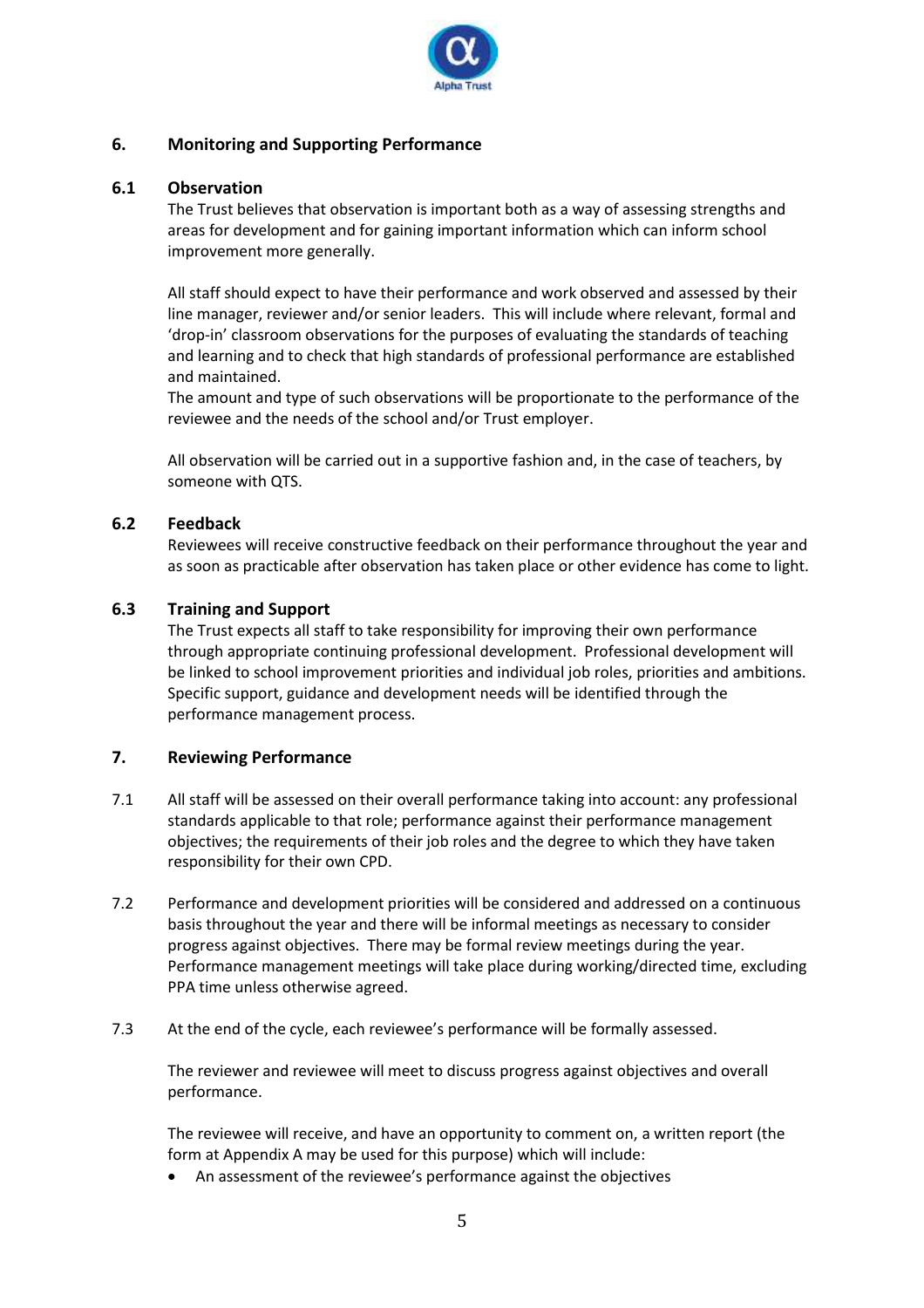

#### **6. Monitoring and Supporting Performance**

#### **6.1 Observation**

The Trust believes that observation is important both as a way of assessing strengths and areas for development and for gaining important information which can inform school improvement more generally.

All staff should expect to have their performance and work observed and assessed by their line manager, reviewer and/or senior leaders. This will include where relevant, formal and 'drop-in' classroom observations for the purposes of evaluating the standards of teaching and learning and to check that high standards of professional performance are established and maintained.

The amount and type of such observations will be proportionate to the performance of the reviewee and the needs of the school and/or Trust employer.

All observation will be carried out in a supportive fashion and, in the case of teachers, by someone with QTS.

#### **6.2 Feedback**

Reviewees will receive constructive feedback on their performance throughout the year and as soon as practicable after observation has taken place or other evidence has come to light.

#### **6.3 Training and Support**

The Trust expects all staff to take responsibility for improving their own performance through appropriate continuing professional development. Professional development will be linked to school improvement priorities and individual job roles, priorities and ambitions. Specific support, guidance and development needs will be identified through the performance management process.

#### **7. Reviewing Performance**

- 7.1 All staff will be assessed on their overall performance taking into account: any professional standards applicable to that role; performance against their performance management objectives; the requirements of their job roles and the degree to which they have taken responsibility for their own CPD.
- 7.2 Performance and development priorities will be considered and addressed on a continuous basis throughout the year and there will be informal meetings as necessary to consider progress against objectives. There may be formal review meetings during the year. Performance management meetings will take place during working/directed time, excluding PPA time unless otherwise agreed.
- 7.3 At the end of the cycle, each reviewee's performance will be formally assessed.

The reviewer and reviewee will meet to discuss progress against objectives and overall performance.

The reviewee will receive, and have an opportunity to comment on, a written report (the form at Appendix A may be used for this purpose) which will include:

• An assessment of the reviewee's performance against the objectives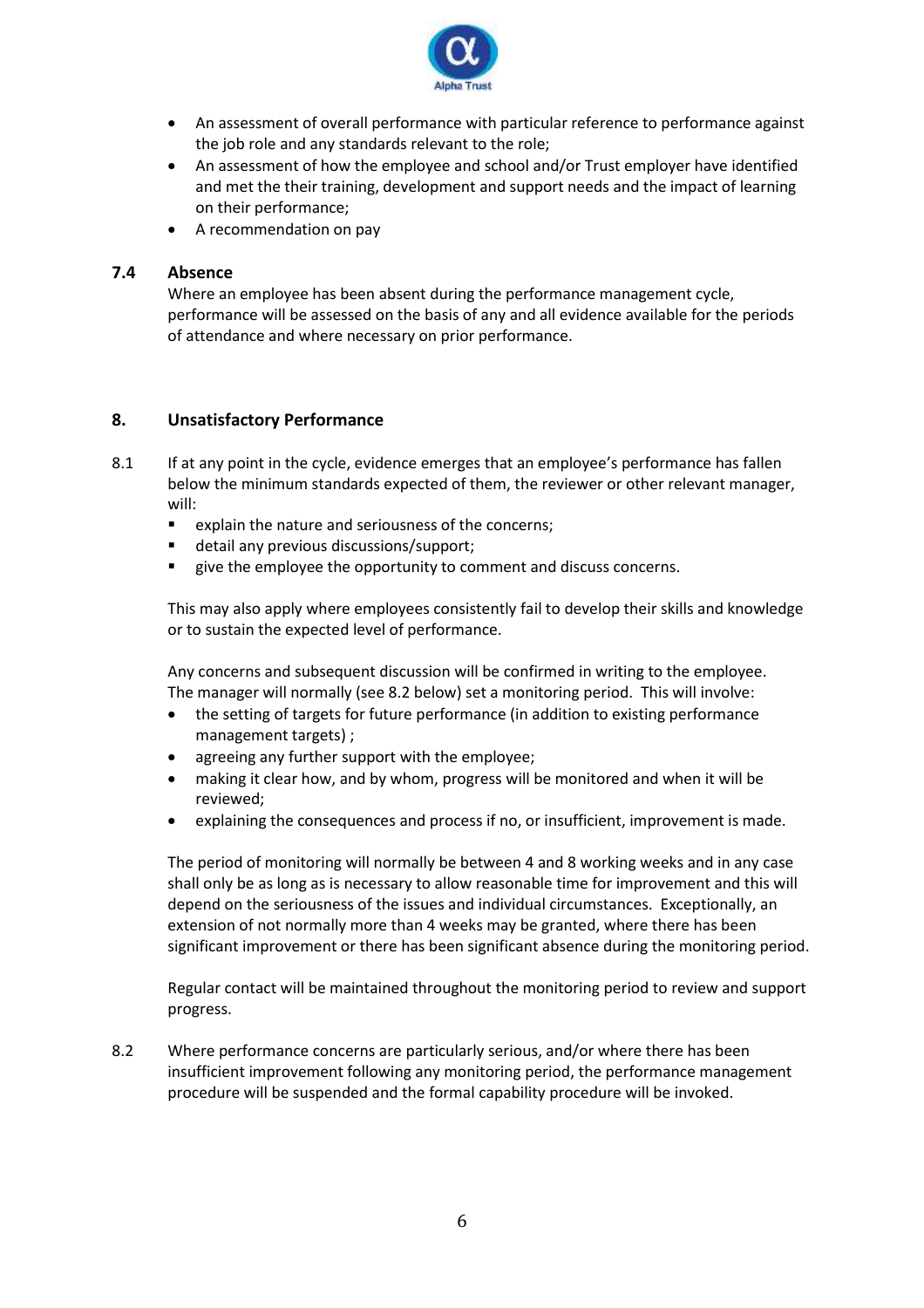

- An assessment of overall performance with particular reference to performance against the job role and any standards relevant to the role;
- An assessment of how the employee and school and/or Trust employer have identified and met the their training, development and support needs and the impact of learning on their performance;
- A recommendation on pay

#### **7.4 Absence**

Where an employee has been absent during the performance management cycle, performance will be assessed on the basis of any and all evidence available for the periods of attendance and where necessary on prior performance.

#### **8. Unsatisfactory Performance**

- 8.1 If at any point in the cycle, evidence emerges that an employee's performance has fallen below the minimum standards expected of them, the reviewer or other relevant manager, will:
	- explain the nature and seriousness of the concerns;
	- detail any previous discussions/support;
	- give the employee the opportunity to comment and discuss concerns.

This may also apply where employees consistently fail to develop their skills and knowledge or to sustain the expected level of performance.

Any concerns and subsequent discussion will be confirmed in writing to the employee. The manager will normally (see 8.2 below) set a monitoring period. This will involve:

- the setting of targets for future performance (in addition to existing performance management targets) ;
- agreeing any further support with the employee;
- making it clear how, and by whom, progress will be monitored and when it will be reviewed;
- explaining the consequences and process if no, or insufficient, improvement is made.

The period of monitoring will normally be between 4 and 8 working weeks and in any case shall only be as long as is necessary to allow reasonable time for improvement and this will depend on the seriousness of the issues and individual circumstances. Exceptionally, an extension of not normally more than 4 weeks may be granted, where there has been significant improvement or there has been significant absence during the monitoring period.

Regular contact will be maintained throughout the monitoring period to review and support progress.

8.2 Where performance concerns are particularly serious, and/or where there has been insufficient improvement following any monitoring period, the performance management procedure will be suspended and the formal capability procedure will be invoked.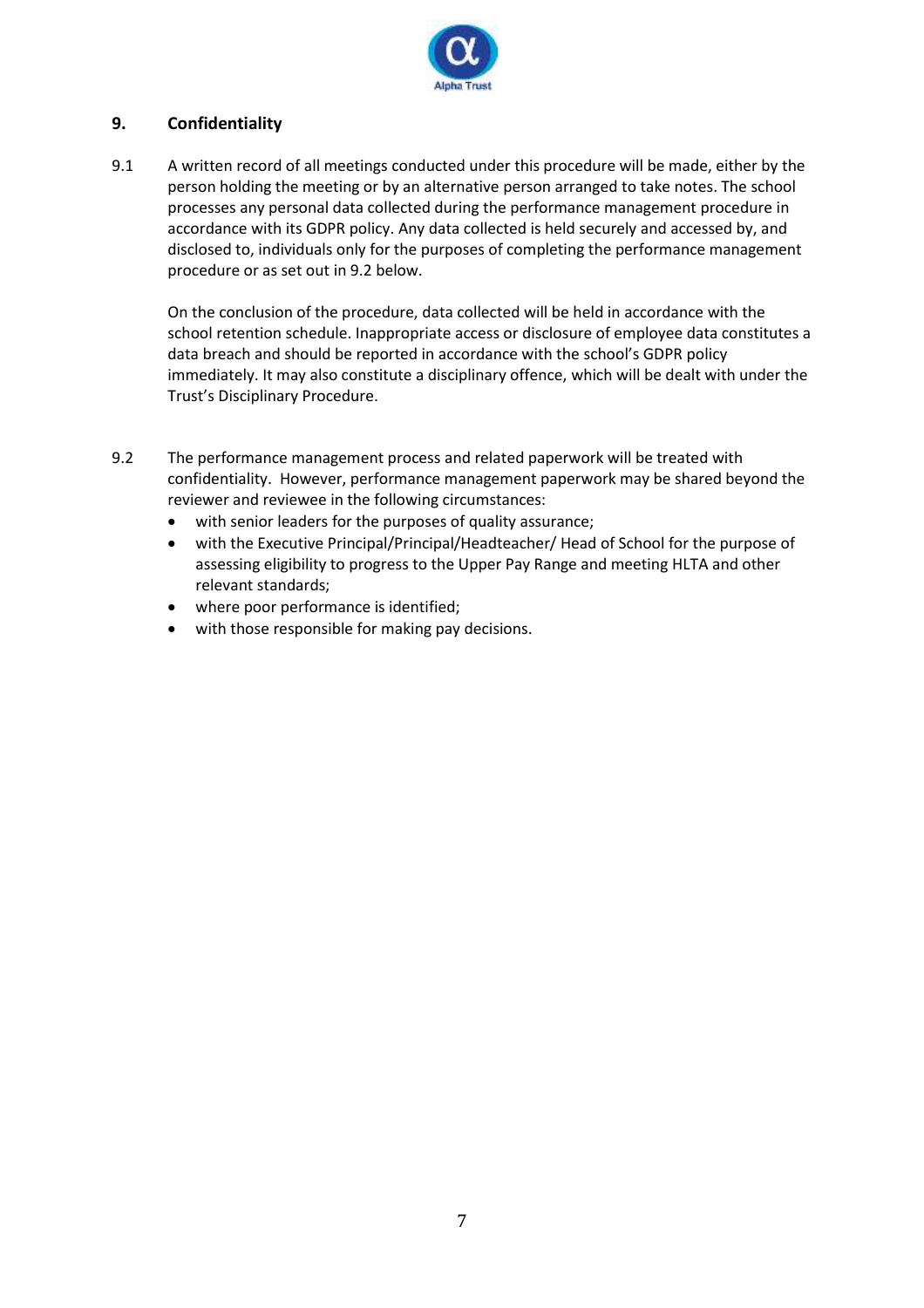

#### **9. Confidentiality**

9.1 A written record of all meetings conducted under this procedure will be made, either by the person holding the meeting or by an alternative person arranged to take notes. The school processes any personal data collected during the performance management procedure in accordance with its GDPR policy. Any data collected is held securely and accessed by, and disclosed to, individuals only for the purposes of completing the performance management procedure or as set out in 9.2 below.

On the conclusion of the procedure, data collected will be held in accordance with the school retention schedule. Inappropriate access or disclosure of employee data constitutes a data breach and should be reported in accordance with the school's GDPR policy immediately. It may also constitute a disciplinary offence, which will be dealt with under the Trust's Disciplinary Procedure.

- 9.2 The performance management process and related paperwork will be treated with confidentiality. However, performance management paperwork may be shared beyond the reviewer and reviewee in the following circumstances:
	- with senior leaders for the purposes of quality assurance;
	- with the Executive Principal/Principal/Headteacher/ Head of School for the purpose of assessing eligibility to progress to the Upper Pay Range and meeting HLTA and other relevant standards;
	- where poor performance is identified;
	- with those responsible for making pay decisions.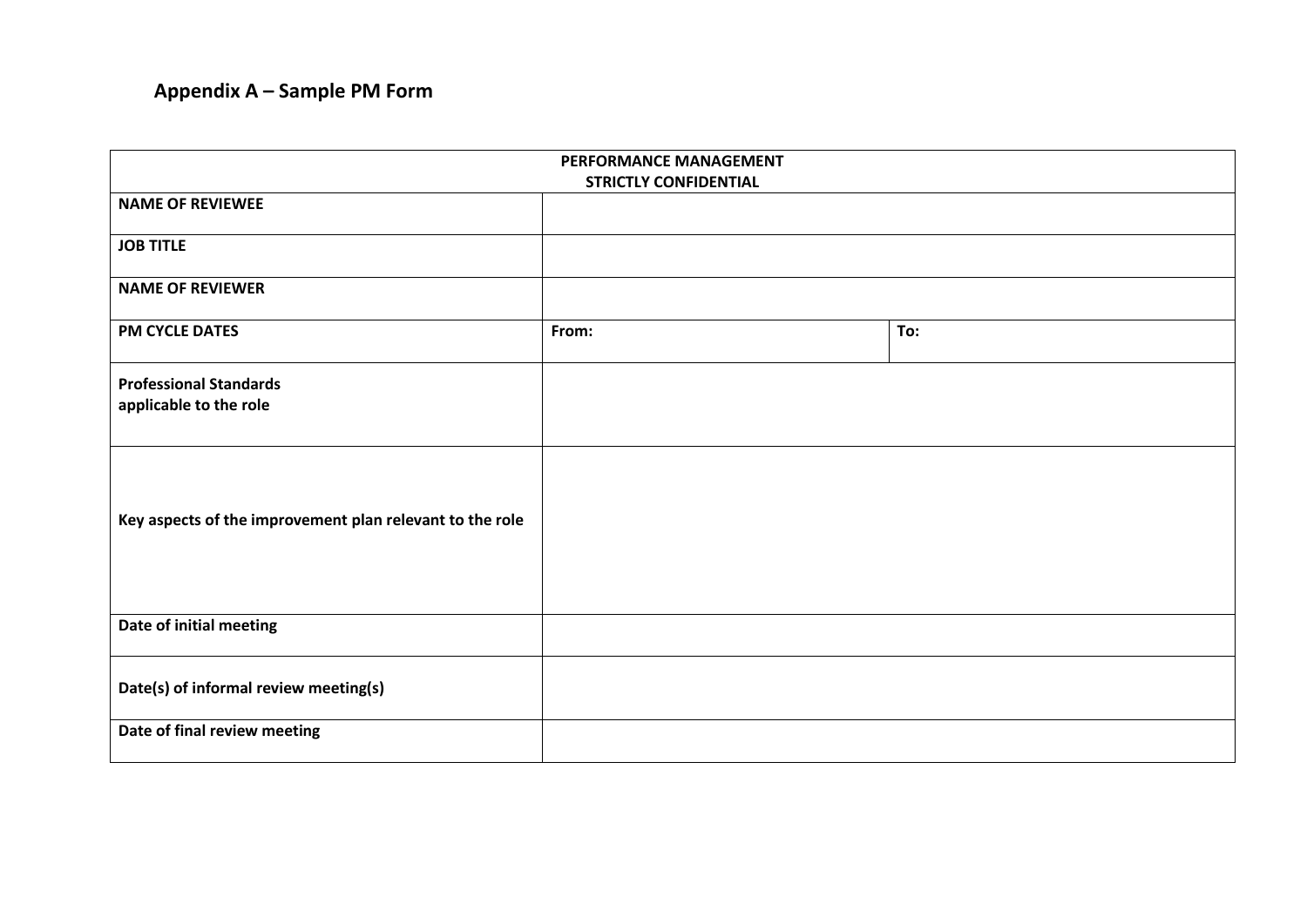## **Appendix A – Sample PM Form**

| PERFORMANCE MANAGEMENT                                   |                              |     |
|----------------------------------------------------------|------------------------------|-----|
| <b>NAME OF REVIEWEE</b>                                  | <b>STRICTLY CONFIDENTIAL</b> |     |
|                                                          |                              |     |
| <b>JOB TITLE</b>                                         |                              |     |
| <b>NAME OF REVIEWER</b>                                  |                              |     |
|                                                          |                              |     |
| <b>PM CYCLE DATES</b>                                    | From:                        | To: |
| <b>Professional Standards</b>                            |                              |     |
| applicable to the role                                   |                              |     |
|                                                          |                              |     |
|                                                          |                              |     |
|                                                          |                              |     |
| Key aspects of the improvement plan relevant to the role |                              |     |
|                                                          |                              |     |
|                                                          |                              |     |
|                                                          |                              |     |
| Date of initial meeting                                  |                              |     |
|                                                          |                              |     |
| Date(s) of informal review meeting(s)                    |                              |     |
| Date of final review meeting                             |                              |     |
|                                                          |                              |     |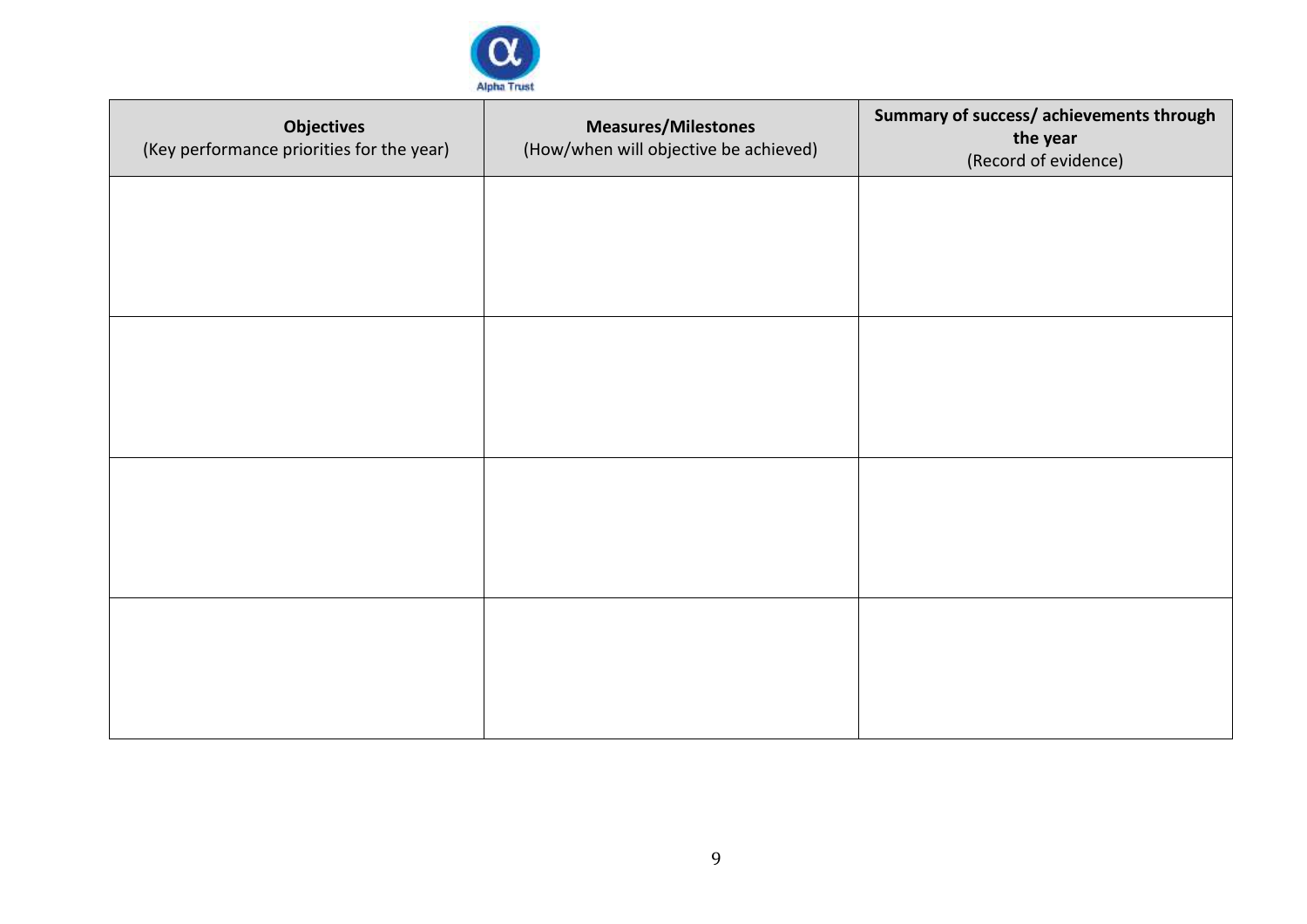

| <b>Objectives</b><br>(Key performance priorities for the year) | <b>Measures/Milestones</b><br>(How/when will objective be achieved) | Summary of success/ achievements through<br>the year<br>(Record of evidence) |
|----------------------------------------------------------------|---------------------------------------------------------------------|------------------------------------------------------------------------------|
|                                                                |                                                                     |                                                                              |
|                                                                |                                                                     |                                                                              |
|                                                                |                                                                     |                                                                              |
|                                                                |                                                                     |                                                                              |
|                                                                |                                                                     |                                                                              |
|                                                                |                                                                     |                                                                              |
|                                                                |                                                                     |                                                                              |
|                                                                |                                                                     |                                                                              |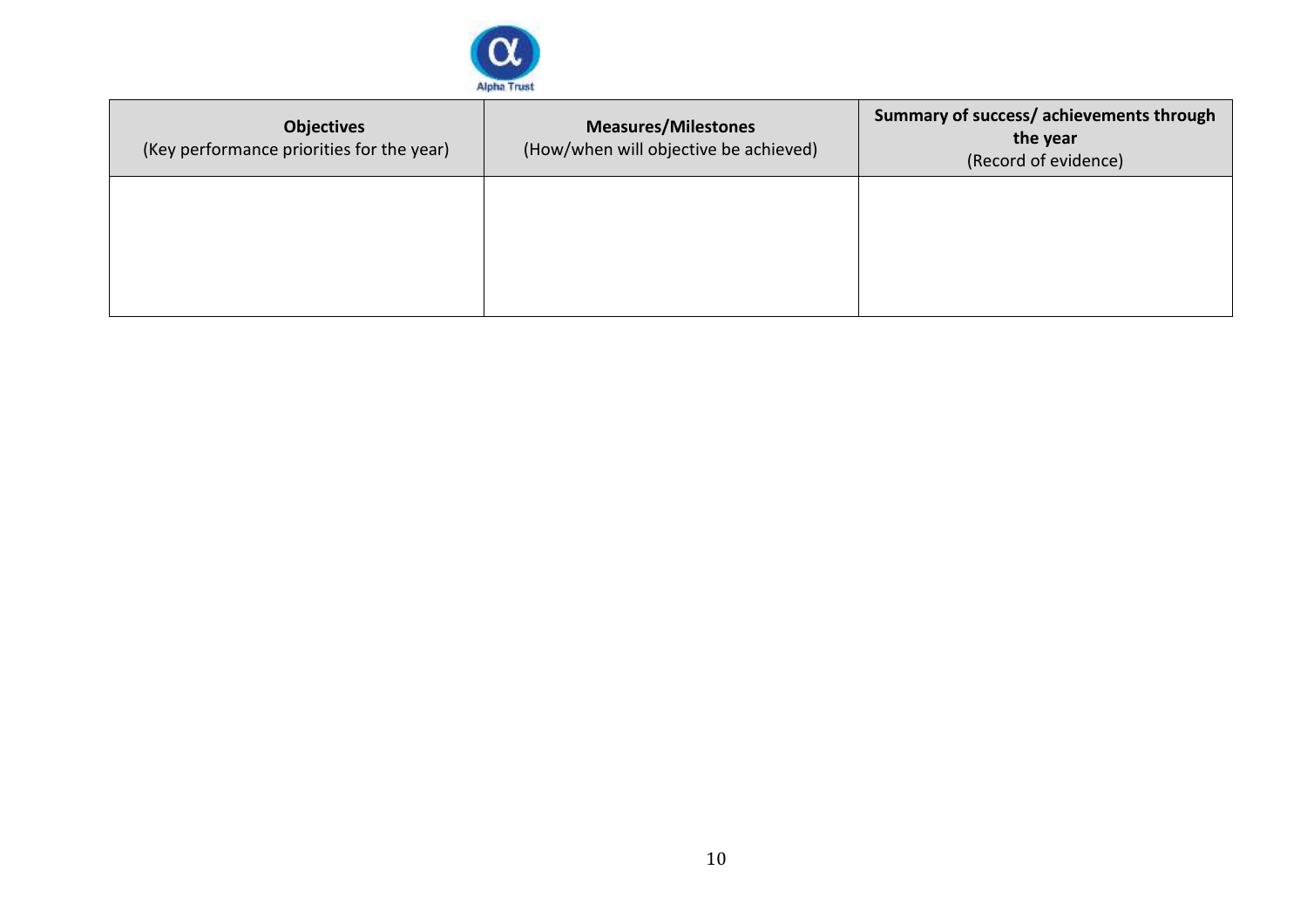

| <b>Objectives</b><br>(Key performance priorities for the year) | <b>Measures/Milestones</b><br>(How/when will objective be achieved) | Summary of success/ achievements through<br>the year<br>(Record of evidence) |
|----------------------------------------------------------------|---------------------------------------------------------------------|------------------------------------------------------------------------------|
|                                                                |                                                                     |                                                                              |
|                                                                |                                                                     |                                                                              |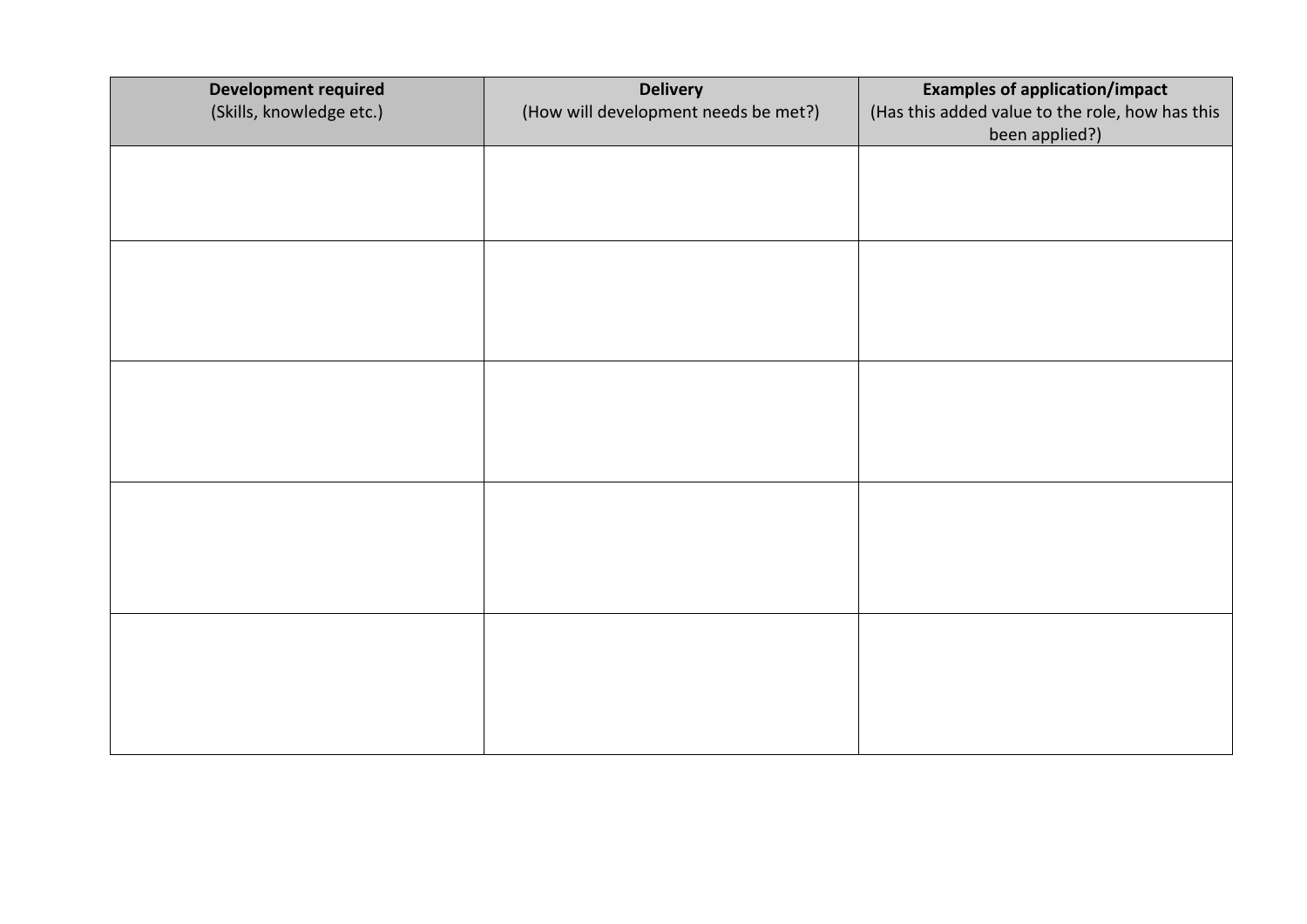| <b>Development required</b><br>(Skills, knowledge etc.) | <b>Delivery</b><br>(How will development needs be met?) | <b>Examples of application/impact</b><br>(Has this added value to the role, how has this<br>been applied?) |
|---------------------------------------------------------|---------------------------------------------------------|------------------------------------------------------------------------------------------------------------|
|                                                         |                                                         |                                                                                                            |
|                                                         |                                                         |                                                                                                            |
|                                                         |                                                         |                                                                                                            |
|                                                         |                                                         |                                                                                                            |
|                                                         |                                                         |                                                                                                            |
|                                                         |                                                         |                                                                                                            |
|                                                         |                                                         |                                                                                                            |
|                                                         |                                                         |                                                                                                            |
|                                                         |                                                         |                                                                                                            |